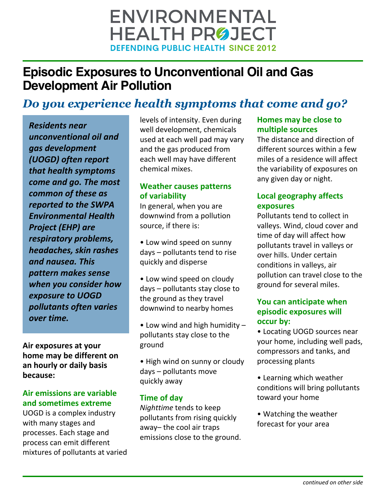# **ENVIRONMENTAL HEALTH PRØJECT DEFENDING PUBLIC HEALTH SINCE 2012**

## **Episodic Exposures to Unconventional Oil and Gas Development Air Pollution**

## *Do you experience health symptoms that come and go?*

*Residents near unconventional oil and gas development (UOGD) often report that health symptoms come and go. The most common of these as reported to the SWPA Environmental Health Project (EHP) are respiratory problems, headaches, skin rashes and nausea. This pattern makes sense when you consider how exposure to UOGD pollutants often varies over time.*

**Air exposures at your home may be different on an hourly or daily basis because:**

#### **Air emissions are variable and sometimes extreme**

UOGD is a complex industry with many stages and processes. Each stage and process can emit different mixtures of pollutants at varied levels of intensity. Even during well development, chemicals used at each well pad may vary and the gas produced from each well may have different chemical mixes.

### **Weather causes patterns of variability**

In general, when you are downwind from a pollution source, if there is:

• Low wind speed on sunny days – pollutants tend to rise quickly and disperse

• Low wind speed on cloudy days – pollutants stay close to the ground as they travel downwind to nearby homes

• Low wind and high humidity – pollutants stay close to the ground

• High wind on sunny or cloudy days – pollutants move quickly away

## **Time of day**

*Nighttime* tends to keep pollutants from rising quickly away– the cool air traps emissions close to the ground.

## **Homes may be close to multiple sources**

The distance and direction of different sources within a few miles of a residence will affect the variability of exposures on any given day or night.

## **Local geography affects exposures**

Pollutants tend to collect in valleys. Wind, cloud cover and time of day will affect how pollutants travel in valleys or over hills. Under certain conditions in valleys, air pollution can travel close to the ground for several miles.

#### **You can anticipate when episodic exposures will occur by:**

• Locating UOGD sources near your home, including well pads, compressors and tanks, and processing plants

- Learning which weather conditions will bring pollutants toward your home
- Watching the weather forecast for your area